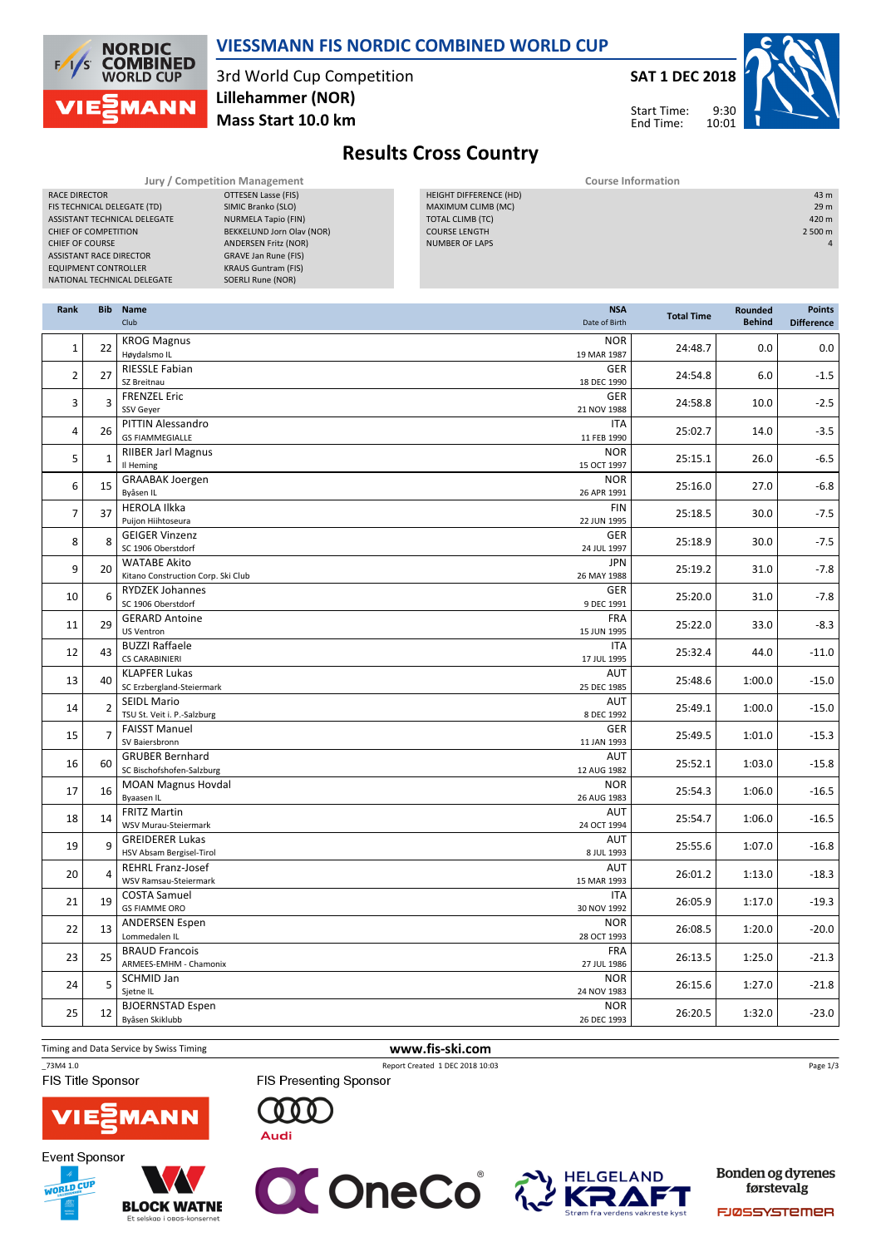

#### VIESSMANN FIS NORDIC COMBINED WORLD CUP

3rd World Cup Competition Mass Start 10.0 km Lillehammer (NOR)



9:30 10:01 Start Time: End Time:



# Results Cross Country

RACE DIRECTOR **OTTESEN Lasse (FIS)** FIS TECHNICAL DELEGATE (TD) SIMIC Branko (SLO)<br>ASSISTANT TECHNICAL DELEGATE NURMELA Tapio (FIN) ASSISTANT TECHNICAL DELEGATE CHIEF OF COMPETITION BEKKELUND Jorn Olav (NOR) **CHIEF OF COURSE CHIEF OF COURSE ANDERSEN Fritz (NOR)** ASSISTANT RACE DIRECTOR GRAVE Jan Rune (FIS) EQUIPMENT CONTROLLER KRAUS Guntram (FIS) NATIONAL TECHNICAL DELEGATE SOERLI Rune (NOR)

Jury / Competition Management **Course Information** Course Information HEIGHT DIFFERENCE (HD) 43 m MAXIMUM CLIMB (MC) 29 m TOTAL CLIMB (TC) COURSE LENGTH 2 500 m NUMBER OF LAPS 4 and 200 million and 200 million and 200 million and 200 million and 200 million and 200 million

| Rank           | <b>Bib</b>   | <b>Name</b><br>Club                                       | <b>NSA</b><br>Date of Birth | <b>Total Time</b> | Rounded<br><b>Behind</b> | <b>Points</b><br><b>Difference</b> |
|----------------|--------------|-----------------------------------------------------------|-----------------------------|-------------------|--------------------------|------------------------------------|
| $\mathbf{1}$   | 22           | <b>KROG Magnus</b><br>Høydalsmo IL                        | <b>NOR</b><br>19 MAR 1987   | 24:48.7           | 0.0                      | 0.0                                |
| $\overline{2}$ | 27           | <b>RIESSLE Fabian</b><br>SZ Breitnau                      | GER<br>18 DEC 1990          | 24:54.8           | 6.0                      | $-1.5$                             |
| 3              | 3            | <b>FRENZEL Eric</b><br>SSV Geyer                          | <b>GER</b><br>21 NOV 1988   | 24:58.8           | 10.0                     | $-2.5$                             |
| $\overline{a}$ | 26           | PITTIN Alessandro<br><b>GS FIAMMEGIALLE</b>               | <b>ITA</b><br>11 FEB 1990   | 25:02.7           | 14.0                     | $-3.5$                             |
| 5              | $\mathbf{1}$ | <b>RIIBER Jarl Magnus</b><br>Il Heming                    | <b>NOR</b><br>15 OCT 1997   | 25:15.1           | 26.0                     | $-6.5$                             |
| 6              | 15           | <b>GRAABAK Joergen</b><br>Byåsen IL                       | <b>NOR</b><br>26 APR 1991   | 25:16.0           | 27.0                     | $-6.8$                             |
| $\overline{7}$ | 37           | <b>HEROLA Ilkka</b><br>Puijon Hiihtoseura                 | <b>FIN</b><br>22 JUN 1995   | 25:18.5           | 30.0                     | $-7.5$                             |
| 8              | 8            | <b>GEIGER Vinzenz</b><br>SC 1906 Oberstdorf               | <b>GER</b><br>24 JUL 1997   | 25:18.9           | 30.0                     | $-7.5$                             |
| 9              | 20           | <b>WATABE Akito</b><br>Kitano Construction Corp. Ski Club | <b>JPN</b><br>26 MAY 1988   | 25:19.2           | 31.0                     | $-7.8$                             |
| 10             | 6            | <b>RYDZEK Johannes</b><br>SC 1906 Oberstdorf              | <b>GER</b><br>9 DEC 1991    | 25:20.0           | 31.0                     | $-7.8$                             |
| 11             | 29           | <b>GERARD Antoine</b><br><b>US Ventron</b>                | <b>FRA</b><br>15 JUN 1995   | 25:22.0           | 33.0                     | $-8.3$                             |
| 12             | 43           | <b>BUZZI Raffaele</b><br><b>CS CARABINIERI</b>            | <b>ITA</b><br>17 JUL 1995   | 25:32.4           | 44.0                     | $-11.0$                            |
| 13             | 40           | <b>KLAPFER Lukas</b><br>SC Erzbergland-Steiermark         | AUT<br>25 DEC 1985          | 25:48.6           | 1:00.0                   | $-15.0$                            |
| 14             | 2            | <b>SEIDL Mario</b><br>TSU St. Veit i. P.-Salzburg         | <b>AUT</b><br>8 DEC 1992    | 25:49.1           | 1:00.0                   | $-15.0$                            |
| 15             | 7            | <b>FAISST Manuel</b><br>SV Baiersbronn                    | <b>GER</b><br>11 JAN 1993   | 25:49.5           | 1:01.0                   | $-15.3$                            |
| 16             | 60           | <b>GRUBER Bernhard</b><br>SC Bischofshofen-Salzburg       | AUT<br>12 AUG 1982          | 25:52.1           | 1:03.0                   | $-15.8$                            |
| 17             | 16           | <b>MOAN Magnus Hovdal</b><br>Byaasen IL                   | <b>NOR</b><br>26 AUG 1983   | 25:54.3           | 1:06.0                   | $-16.5$                            |
| 18             | 14           | <b>FRITZ Martin</b><br>WSV Murau-Steiermark               | <b>AUT</b><br>24 OCT 1994   | 25:54.7           | 1:06.0                   | $-16.5$                            |
| 19             | 9            | <b>GREIDERER Lukas</b><br>HSV Absam Bergisel-Tirol        | AUT<br>8 JUL 1993           | 25:55.6           | 1:07.0                   | $-16.8$                            |
| 20             | 4            | <b>REHRL Franz-Josef</b><br>WSV Ramsau-Steiermark         | AUT<br>15 MAR 1993          | 26:01.2           | 1:13.0                   | $-18.3$                            |
| 21             | 19           | <b>COSTA Samuel</b><br><b>GS FIAMME ORO</b>               | <b>ITA</b><br>30 NOV 1992   | 26:05.9           | 1:17.0                   | $-19.3$                            |
| 22             | 13           | <b>ANDERSEN Espen</b><br>Lommedalen IL                    | <b>NOR</b><br>28 OCT 1993   | 26:08.5           | 1:20.0                   | $-20.0$                            |
| 23             | 25           | <b>BRAUD Francois</b><br>ARMEES-EMHM - Chamonix           | <b>FRA</b><br>27 JUL 1986   | 26:13.5           | 1:25.0                   | $-21.3$                            |
| 24             | 5            | <b>SCHMID Jan</b><br>Sjetne IL                            | <b>NOR</b><br>24 NOV 1983   | 26:15.6           | 1:27.0                   | $-21.8$                            |
| 25             | 12           | <b>BJOERNSTAD Espen</b><br>Byåsen Skiklubb                | <b>NOR</b><br>26 DEC 1993   | 26:20.5           | 1:32.0                   | $-23.0$                            |

Timing and Data Service by Swiss Timing **www.fis-ski.com** 

\_73M4 1.0 Report Created 1 DEC 2018 10:03

FIS Title Sponsor



**Event Sponsor** 





**FIS Presenting Sponsor** 

 $000$ 

**Audi** 



**Bonden og dyrenes** førstevalg

Page 1/3

**FJØSSYSTEMER**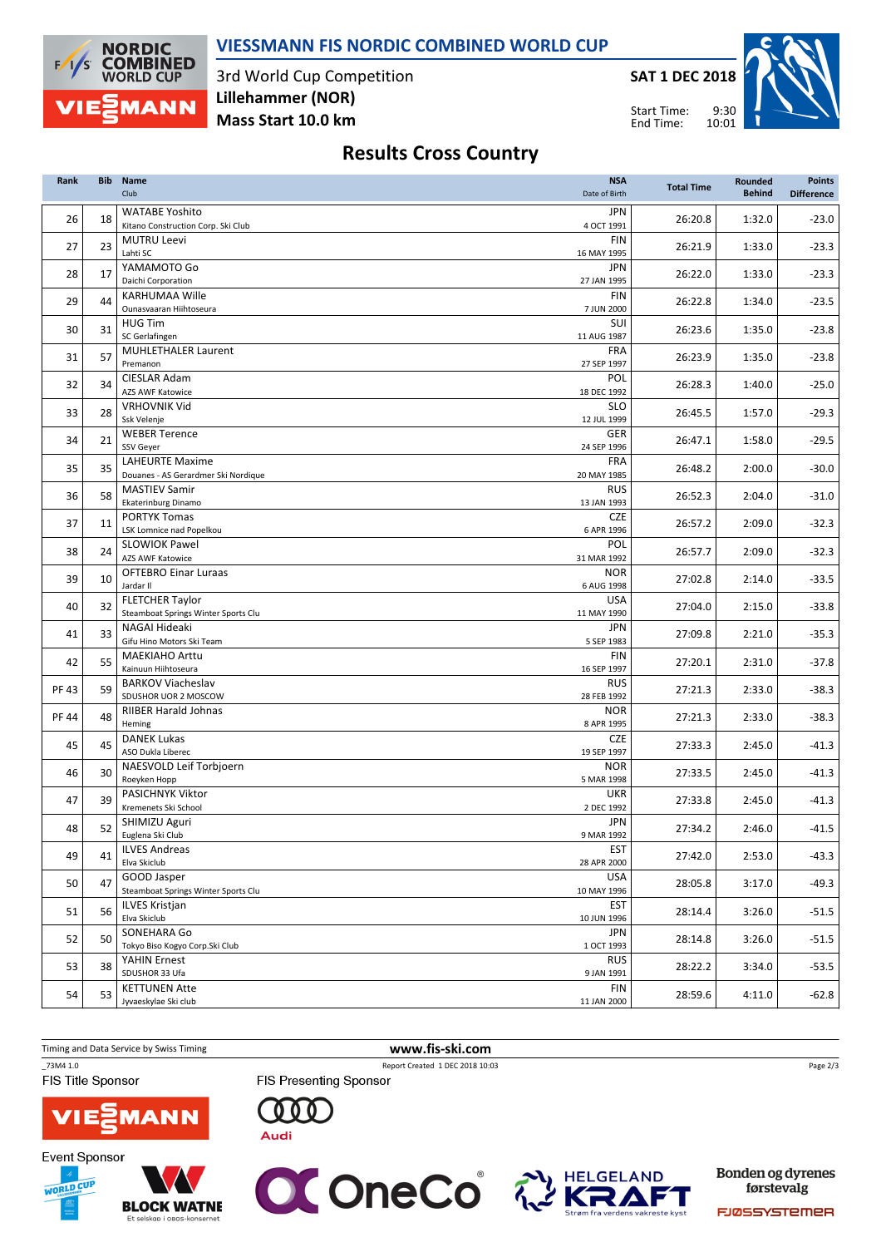### VIESSMANN FIS NORDIC COMBINED WORLD CUP



3rd World Cup Competition Mass Start 10.0 km Lillehammer (NOR)

SAT 1 DEC 2018

Start Time: End Time:



## Results Cross Country

| Rank  | <b>Bib</b> | <b>Name</b><br><b>NSA</b><br>Club<br>Date of Birth            |                           | <b>Total Time</b> | <b>Rounded</b><br><b>Behind</b> | <b>Points</b><br><b>Difference</b> |
|-------|------------|---------------------------------------------------------------|---------------------------|-------------------|---------------------------------|------------------------------------|
| 26    | 18         | <b>WATABE Yoshito</b><br>Kitano Construction Corp. Ski Club   | <b>JPN</b><br>4 OCT 1991  | 26:20.8           | 1:32.0                          | $-23.0$                            |
| 27    | 23         | <b>MUTRU Leevi</b><br>Lahti SC                                | <b>FIN</b><br>16 MAY 1995 | 26:21.9           | 1:33.0                          | $-23.3$                            |
| 28    | 17         | YAMAMOTO Go<br>Daichi Corporation                             | JPN<br>27 JAN 1995        | 26:22.0           | 1:33.0                          | $-23.3$                            |
| 29    | 44         | <b>KARHUMAA Wille</b><br>Ounasvaaran Hiihtoseura              | <b>FIN</b><br>7 JUN 2000  | 26:22.8           | 1:34.0                          | $-23.5$                            |
| 30    | 31         | <b>HUG Tim</b><br>SC Gerlafingen                              | SUI<br>11 AUG 1987        | 26:23.6           | 1:35.0                          | $-23.8$                            |
| 31    | 57         | <b>MUHLETHALER Laurent</b><br>Premanon                        | <b>FRA</b><br>27 SEP 1997 | 26:23.9           | 1:35.0                          | $-23.8$                            |
| 32    | 34         | CIESLAR Adam<br><b>AZS AWF Katowice</b>                       | POL<br>18 DEC 1992        | 26:28.3           | 1:40.0                          | $-25.0$                            |
| 33    | 28         | <b>VRHOVNIK Vid</b><br>Ssk Velenje                            | <b>SLO</b><br>12 JUL 1999 | 26:45.5           | 1:57.0                          | $-29.3$                            |
| 34    | 21         | <b>WEBER Terence</b><br>SSV Geyer                             | GER<br>24 SEP 1996        | 26:47.1           | 1:58.0                          | $-29.5$                            |
| 35    | 35         | <b>LAHEURTE Maxime</b><br>Douanes - AS Gerardmer Ski Nordique | <b>FRA</b><br>20 MAY 1985 | 26:48.2           | 2:00.0                          | $-30.0$                            |
| 36    | 58         | <b>MASTIEV Samir</b><br><b>Ekaterinburg Dinamo</b>            | <b>RUS</b><br>13 JAN 1993 | 26:52.3           | 2:04.0                          | $-31.0$                            |
| 37    | 11         | <b>PORTYK Tomas</b><br>LSK Lomnice nad Popelkou               | <b>CZE</b><br>6 APR 1996  | 26:57.2           | 2:09.0                          | $-32.3$                            |
| 38    | 24         | <b>SLOWIOK Pawel</b><br><b>AZS AWF Katowice</b>               | POL<br>31 MAR 1992        | 26:57.7           | 2:09.0                          | $-32.3$                            |
| 39    | 10         | <b>OFTEBRO Einar Luraas</b><br>Jardar II                      | <b>NOR</b><br>6 AUG 1998  | 27:02.8           | 2:14.0                          | $-33.5$                            |
| 40    | 32         | <b>FLETCHER Taylor</b><br>Steamboat Springs Winter Sports Clu | <b>USA</b><br>11 MAY 1990 | 27:04.0           | 2:15.0                          | $-33.8$                            |
| 41    | 33         | NAGAI Hideaki<br>Gifu Hino Motors Ski Team                    | <b>JPN</b><br>5 SEP 1983  | 27:09.8           | 2:21.0                          | $-35.3$                            |
| 42    | 55         | <b>MAEKIAHO Arttu</b><br>Kainuun Hiihtoseura                  | <b>FIN</b><br>16 SEP 1997 | 27:20.1           | 2:31.0                          | $-37.8$                            |
| PF 43 | 59         | <b>BARKOV Viacheslav</b><br>SDUSHOR UOR 2 MOSCOW              | <b>RUS</b><br>28 FEB 1992 | 27:21.3           | 2:33.0                          | $-38.3$                            |
| PF 44 | 48         | <b>RIIBER Harald Johnas</b><br>Heming                         | <b>NOR</b><br>8 APR 1995  | 27:21.3           | 2:33.0                          | $-38.3$                            |
| 45    | 45         | <b>DANEK Lukas</b><br>ASO Dukla Liberec                       | <b>CZE</b><br>19 SEP 1997 | 27:33.3           | 2:45.0                          | $-41.3$                            |
| 46    | 30         | NAESVOLD Leif Torbjoern<br>Roeyken Hopp                       | <b>NOR</b><br>5 MAR 1998  | 27:33.5           | 2:45.0                          | $-41.3$                            |
| 47    | 39         | PASICHNYK Viktor<br>Kremenets Ski School                      | <b>UKR</b><br>2 DEC 1992  | 27:33.8           | 2:45.0                          | $-41.3$                            |
| 48    | 52         | SHIMIZU Aguri<br>Euglena Ski Club                             | <b>JPN</b><br>9 MAR 1992  | 27:34.2           | 2:46.0                          | $-41.5$                            |
| 49    | 41         | <b>ILVES Andreas</b><br>Elva Skiclub                          | <b>EST</b><br>28 APR 2000 | 27:42.0           | 2:53.0                          | $-43.3$                            |
| 50    | 47         | GOOD Jasper<br>Steamboat Springs Winter Sports Clu            | <b>USA</b><br>10 MAY 1996 | 28:05.8           | 3:17.0                          | $-49.3$                            |
| 51    | 56         | <b>ILVES Kristjan</b><br>Elva Skiclub                         | EST<br>10 JUN 1996        | 28:14.4           | 3:26.0                          | $-51.5$                            |
| 52    | 50         | SONEHARA Go<br>Tokyo Biso Kogyo Corp.Ski Club                 | JPN<br>1 OCT 1993         | 28:14.8           | 3:26.0                          | $-51.5$                            |
| 53    | 38         | YAHIN Ernest<br>SDUSHOR 33 Ufa                                | <b>RUS</b><br>9 JAN 1991  | 28:22.2           | 3:34.0                          | $-53.5$                            |
| 54    | 53         | <b>KETTUNEN Atte</b><br>Jyvaeskylae Ski club                  | FIN<br>11 JAN 2000        | 28:59.6           | 4:11.0                          | $-62.8$                            |

Timing and Data Service by Swiss Timing WWW.fis-ski.com

\_73M4 1.0 Report Created 1 DEC 2018 10:03

FIS Title Sponsor







 $000$ 

**Audi** 

**FIS Presenting Sponsor** 



Bonden og dyrenes førstevalg

Page 2/3

FJØSSYSTEMER